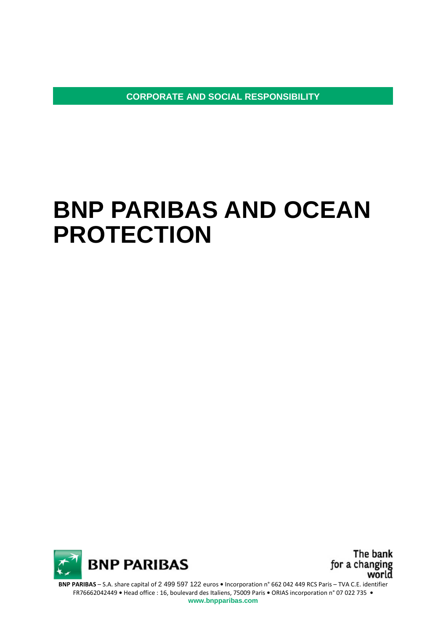**CORPORATE AND SOCIAL RESPONSIBILITY**

# **BNP PARIBAS AND OCEAN PROTECTION**



The bank for a changing world

**BNP PARIBAS** – S.A. share capital of 2 499 597 122 euros **•** Incorporation n° 662 042 449 RCS Paris – TVA C.E. identifier FR76662042449 **•** Head office : 16, boulevard des Italiens, 75009 Paris **•** ORIAS incorporation n° 07 022 735 **• www.bnpparibas.com**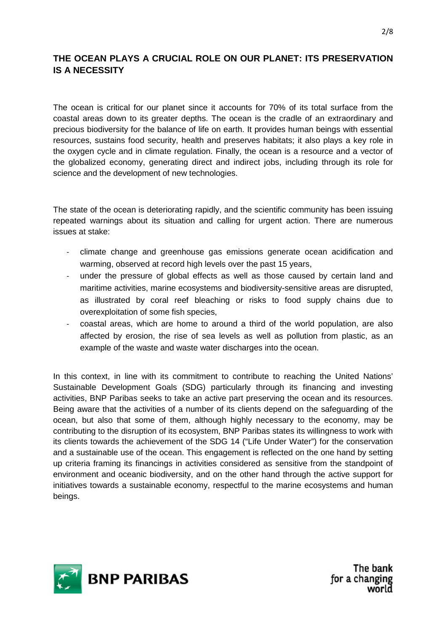# **THE OCEAN PLAYS A CRUCIAL ROLE ON OUR PLANET: ITS PRESERVATION IS A NECESSITY**

The ocean is critical for our planet since it accounts for 70% of its total surface from the coastal areas down to its greater depths. The ocean is the cradle of an extraordinary and precious biodiversity for the balance of life on earth. It provides human beings with essential resources, sustains food security, health and preserves habitats; it also plays a key role in the oxygen cycle and in climate regulation. Finally, the ocean is a resource and a vector of the globalized economy, generating direct and indirect jobs, including through its role for science and the development of new technologies.

The state of the ocean is deteriorating rapidly, and the scientific community has been issuing repeated warnings about its situation and calling for urgent action. There are numerous issues at stake:

- climate change and greenhouse gas emissions generate ocean acidification and warming, observed at record high levels over the past 15 years,
- under the pressure of global effects as well as those caused by certain land and maritime activities, marine ecosystems and biodiversity-sensitive areas are disrupted, as illustrated by coral reef bleaching or risks to food supply chains due to overexploitation of some fish species,
- coastal areas, which are home to around a third of the world population, are also affected by erosion, the rise of sea levels as well as pollution from plastic, as an example of the waste and waste water discharges into the ocean.

In this context, in line with its commitment to contribute to reaching the United Nations' Sustainable Development Goals (SDG) particularly through its financing and investing activities, BNP Paribas seeks to take an active part preserving the ocean and its resources. Being aware that the activities of a number of its clients depend on the safeguarding of the ocean, but also that some of them, although highly necessary to the economy, may be contributing to the disruption of its ecosystem, BNP Paribas states its willingness to work with its clients towards the achievement of the SDG 14 ("Life Under Water") for the conservation and a sustainable use of the ocean. This engagement is reflected on the one hand by setting up criteria framing its financings in activities considered as sensitive from the standpoint of environment and oceanic biodiversity, and on the other hand through the active support for initiatives towards a sustainable economy, respectful to the marine ecosystems and human beings.

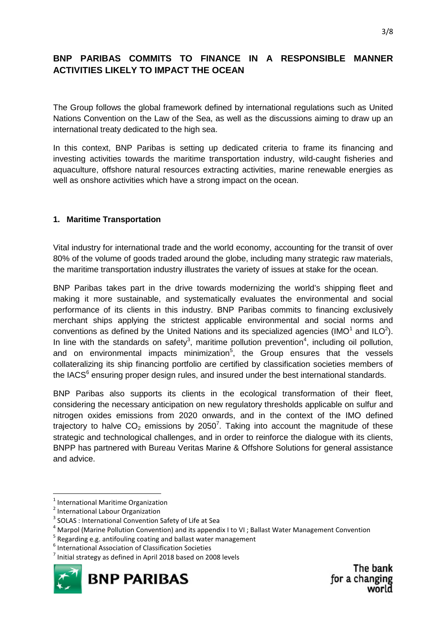# **BNP PARIBAS COMMITS TO FINANCE IN A RESPONSIBLE MANNER ACTIVITIES LIKELY TO IMPACT THE OCEAN**

The Group follows the global framework defined by international regulations such as United Nations Convention on the Law of the Sea, as well as the discussions aiming to draw up an international treaty dedicated to the high sea.

In this context, BNP Paribas is setting up dedicated criteria to frame its financing and investing activities towards the maritime transportation industry, wild-caught fisheries and aquaculture, offshore natural resources extracting activities, marine renewable energies as well as onshore activities which have a strong impact on the ocean.

#### **1. Maritime Transportation**

Vital industry for international trade and the world economy, accounting for the transit of over 80% of the volume of goods traded around the globe, including many strategic raw materials, the maritime transportation industry illustrates the variety of issues at stake for the ocean.

BNP Paribas takes part in the drive towards modernizing the world's shipping fleet and making it more sustainable, and systematically evaluates the environmental and social performance of its clients in this industry. BNP Paribas commits to financing exclusively merchant ships applying the strictest applicable environmental and social norms and conventions as defined by the United Nations and its specialized agencies (IMO<sup>1</sup> and ILO<sup>2</sup>). In line with the standards on safety<sup>3</sup>, maritime pollution prevention<sup>4</sup>, including oil pollution, and on environmental impacts minimization<sup>5</sup>, the Group ensures that the vessels collateralizing its ship financing portfolio are certified by classification societies members of the IACS $<sup>6</sup>$  ensuring proper design rules, and insured under the best international standards.</sup>

BNP Paribas also supports its clients in the ecological transformation of their fleet, considering the necessary anticipation on new regulatory thresholds applicable on sulfur and nitrogen oxides emissions from 2020 onwards, and in the context of the IMO defined trajectory to halve  $CO<sub>2</sub>$  emissions by 2050<sup>7</sup>. Taking into account the magnitude of these strategic and technological challenges, and in order to reinforce the dialogue with its clients, BNPP has partnered with Bureau Veritas Marine & Offshore Solutions for general assistance and advice.

 $^7$  Initial strategy as defined in April 2018 based on 2008 levels



<sup>1</sup> International Maritime Organization

<sup>&</sup>lt;sup>2</sup> International Labour Organization

<sup>&</sup>lt;sup>3</sup> SOLAS : International Convention Safety of Life at Sea

<sup>&</sup>lt;sup>4</sup> Marpol (Marine Pollution Convention) and its appendix I to VI ; Ballast Water Management Convention

<sup>&</sup>lt;sup>5</sup> Regarding e.g. antifouling coating and ballast water management

<sup>6</sup> International Association of Classification Societies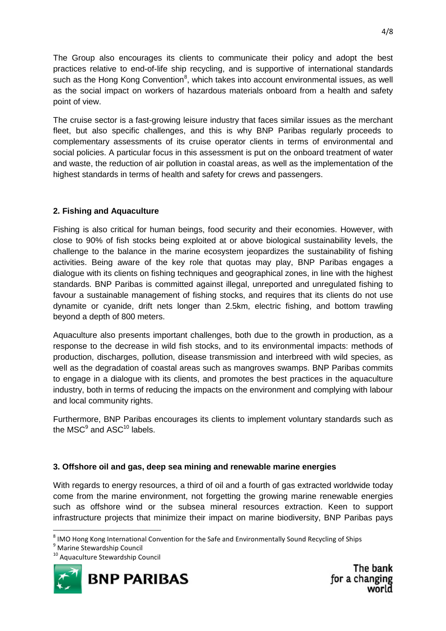The Group also encourages its clients to communicate their policy and adopt the best practices relative to end-of-life ship recycling, and is supportive of international standards such as the Hong Kong Convention<sup>8</sup>, which takes into account environmental issues, as well as the social impact on workers of hazardous materials onboard from a health and safety point of view.

The cruise sector is a fast-growing leisure industry that faces similar issues as the merchant fleet, but also specific challenges, and this is why BNP Paribas regularly proceeds to complementary assessments of its cruise operator clients in terms of environmental and social policies. A particular focus in this assessment is put on the onboard treatment of water and waste, the reduction of air pollution in coastal areas, as well as the implementation of the highest standards in terms of health and safety for crews and passengers.

## **2. Fishing and Aquaculture**

Fishing is also critical for human beings, food security and their economies. However, with close to 90% of fish stocks being exploited at or above biological sustainability levels, the challenge to the balance in the marine ecosystem jeopardizes the sustainability of fishing activities. Being aware of the key role that quotas may play, BNP Paribas engages a dialogue with its clients on fishing techniques and geographical zones, in line with the highest standards. BNP Paribas is committed against illegal, unreported and unregulated fishing to favour a sustainable management of fishing stocks, and requires that its clients do not use dynamite or cyanide, drift nets longer than 2.5km, electric fishing, and bottom trawling beyond a depth of 800 meters.

Aquaculture also presents important challenges, both due to the growth in production, as a response to the decrease in wild fish stocks, and to its environmental impacts: methods of production, discharges, pollution, disease transmission and interbreed with wild species, as well as the degradation of coastal areas such as mangroves swamps. BNP Paribas commits to engage in a dialogue with its clients, and promotes the best practices in the aquaculture industry, both in terms of reducing the impacts on the environment and complying with labour and local community rights.

Furthermore, BNP Paribas encourages its clients to implement voluntary standards such as the MSC $^9$  and ASC $^{10}$  labels.

#### **3. Offshore oil and gas, deep sea mining and renewable marine energies**

With regards to energy resources, a third of oil and a fourth of gas extracted worldwide today come from the marine environment, not forgetting the growing marine renewable energies such as offshore wind or the subsea mineral resources extraction. Keen to support infrastructure projects that minimize their impact on marine biodiversity, BNP Paribas pays

<sup>&</sup>lt;sup>10</sup> Aquaculture Stewardship Council



<sup>&</sup>lt;sup>8</sup> IMO Hong Kong International Convention for the Safe and Environmentally Sound Recycling of Ships

<sup>&</sup>lt;sup>9</sup> Marine Stewardship Council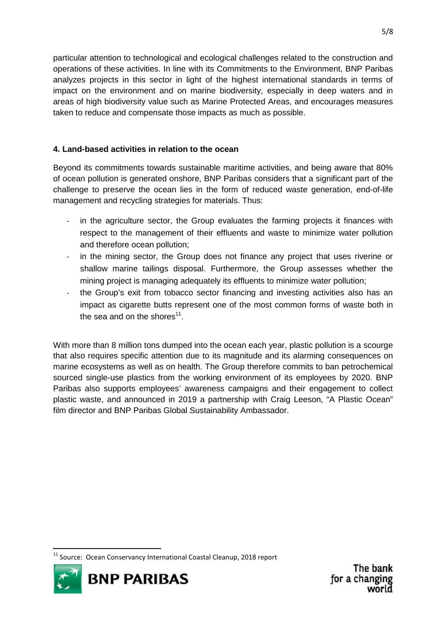particular attention to technological and ecological challenges related to the construction and operations of these activities. In line with its Commitments to the Environment, BNP Paribas analyzes projects in this sector in light of the highest international standards in terms of impact on the environment and on marine biodiversity, especially in deep waters and in areas of high biodiversity value such as Marine Protected Areas, and encourages measures taken to reduce and compensate those impacts as much as possible.

## **4. Land-based activities in relation to the ocean**

Beyond its commitments towards sustainable maritime activities, and being aware that 80% of ocean pollution is generated onshore, BNP Paribas considers that a significant part of the challenge to preserve the ocean lies in the form of reduced waste generation, end-of-life management and recycling strategies for materials. Thus:

- in the agriculture sector, the Group evaluates the farming projects it finances with respect to the management of their effluents and waste to minimize water pollution and therefore ocean pollution;
- in the mining sector, the Group does not finance any project that uses riverine or shallow marine tailings disposal. Furthermore, the Group assesses whether the mining project is managing adequately its effluents to minimize water pollution;
- the Group's exit from tobacco sector financing and investing activities also has an impact as cigarette butts represent one of the most common forms of waste both in the sea and on the shores<sup>11</sup>.

With more than 8 million tons dumped into the ocean each year, plastic pollution is a scourge that also requires specific attention due to its magnitude and its alarming consequences on marine ecosystems as well as on health. The Group therefore commits to ban petrochemical sourced single-use plastics from the working environment of its employees by 2020. BNP Paribas also supports employees' awareness campaigns and their engagement to collect plastic waste, and announced in 2019 a partnership with Craig Leeson, "A Plastic Ocean" film director and BNP Paribas Global Sustainability Ambassador.

<sup>&</sup>lt;sup>11</sup> Source: Ocean Conservancy International Coastal Cleanup, 2018 report

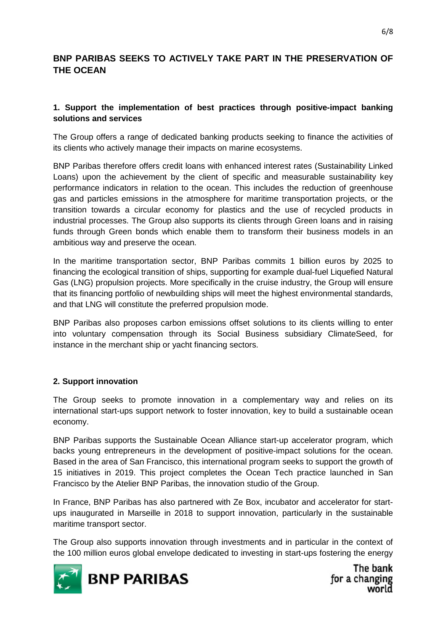# **BNP PARIBAS SEEKS TO ACTIVELY TAKE PART IN THE PRESERVATION OF THE OCEAN**

#### **1. Support the implementation of best practices through positive-impact banking solutions and services**

The Group offers a range of dedicated banking products seeking to finance the activities of its clients who actively manage their impacts on marine ecosystems.

BNP Paribas therefore offers credit loans with enhanced interest rates (Sustainability Linked Loans) upon the achievement by the client of specific and measurable sustainability key performance indicators in relation to the ocean. This includes the reduction of greenhouse gas and particles emissions in the atmosphere for maritime transportation projects, or the transition towards a circular economy for plastics and the use of recycled products in industrial processes. The Group also supports its clients through Green loans and in raising funds through Green bonds which enable them to transform their business models in an ambitious way and preserve the ocean.

In the maritime transportation sector, BNP Paribas commits 1 billion euros by 2025 to financing the ecological transition of ships, supporting for example dual-fuel Liquefied Natural Gas (LNG) propulsion projects. More specifically in the cruise industry, the Group will ensure that its financing portfolio of newbuilding ships will meet the highest environmental standards, and that LNG will constitute the preferred propulsion mode.

BNP Paribas also proposes carbon emissions offset solutions to its clients willing to enter into voluntary compensation through its Social Business subsidiary ClimateSeed, for instance in the merchant ship or yacht financing sectors.

#### **2. Support innovation**

The Group seeks to promote innovation in a complementary way and relies on its international start-ups support network to foster innovation, key to build a sustainable ocean economy.

BNP Paribas supports the Sustainable Ocean Alliance start-up accelerator program, which backs young entrepreneurs in the development of positive-impact solutions for the ocean. Based in the area of San Francisco, this international program seeks to support the growth of 15 initiatives in 2019. This project completes the Ocean Tech practice launched in San Francisco by the Atelier BNP Paribas, the innovation studio of the Group.

In France, BNP Paribas has also partnered with Ze Box, incubator and accelerator for startups inaugurated in Marseille in 2018 to support innovation, particularly in the sustainable maritime transport sector.

The Group also supports innovation through investments and in particular in the context of the 100 million euros global envelope dedicated to investing in start-ups fostering the energy

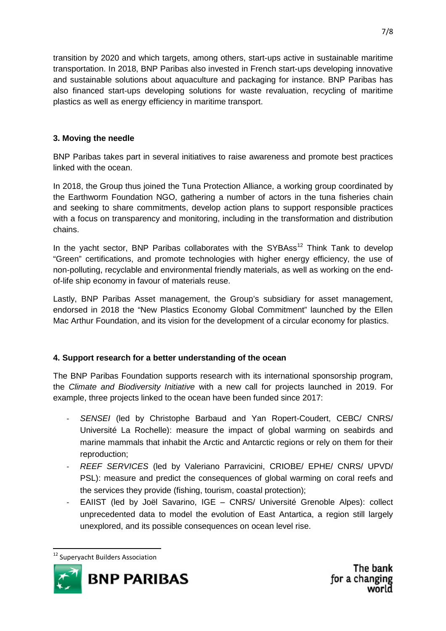transition by 2020 and which targets, among others, start-ups active in sustainable maritime transportation. In 2018, BNP Paribas also invested in French start-ups developing innovative and sustainable solutions about aquaculture and packaging for instance. BNP Paribas has also financed start-ups developing solutions for waste revaluation, recycling of maritime plastics as well as energy efficiency in maritime transport.

### **3. Moving the needle**

BNP Paribas takes part in several initiatives to raise awareness and promote best practices linked with the ocean.

In 2018, the Group thus joined the Tuna Protection Alliance, a working group coordinated by the Earthworm Foundation NGO, gathering a number of actors in the tuna fisheries chain and seeking to share commitments, develop action plans to support responsible practices with a focus on transparency and monitoring, including in the transformation and distribution chains.

In the yacht sector, BNP Paribas collaborates with the SYBAss<sup>12</sup> Think Tank to develop "Green" certifications, and promote technologies with higher energy efficiency, the use of non-polluting, recyclable and environmental friendly materials, as well as working on the endof-life ship economy in favour of materials reuse.

Lastly, BNP Paribas Asset management, the Group's subsidiary for asset management, endorsed in 2018 the "New Plastics Economy Global Commitment" launched by the Ellen Mac Arthur Foundation, and its vision for the development of a circular economy for plastics.

## **4. Support research for a better understanding of the ocean**

The BNP Paribas Foundation supports research with its international sponsorship program, the *Climate and Biodiversity Initiative* with a new call for projects launched in 2019. For example, three projects linked to the ocean have been funded since 2017:

- *SENSEI* (led by Christophe Barbaud and Yan Ropert-Coudert, CEBC/ CNRS/ Université La Rochelle): measure the impact of global warming on seabirds and marine mammals that inhabit the Arctic and Antarctic regions or rely on them for their reproduction;
- *REEF SERVICES* (led by Valeriano Parravicini, CRIOBE/ EPHE/ CNRS/ UPVD/ PSL): measure and predict the consequences of global warming on coral reefs and the services they provide (fishing, tourism, coastal protection);
- EAIIST (led by Joël Savarino, IGE CNRS/ Université Grenoble Alpes): collect unprecedented data to model the evolution of East Antartica, a region still largely unexplored, and its possible consequences on ocean level rise.

<sup>&</sup>lt;sup>12</sup> Superyacht Builders Association